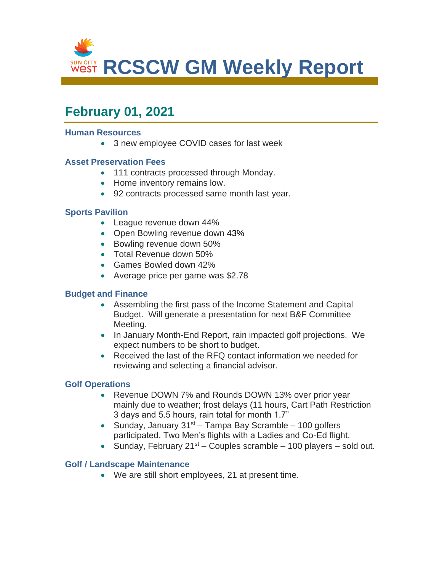

# **February 01, 2021**

#### **Human Resources**

• 3 new employee COVID cases for last week

#### **Asset Preservation Fees**

- 111 contracts processed through Monday.
- Home inventory remains low.
- 92 contracts processed same month last year.

#### **Sports Pavilion**

- League revenue down 44%
- Open Bowling revenue down 43%
- Bowling revenue down 50%
- Total Revenue down 50%
- Games Bowled down 42%
- Average price per game was \$2.78

#### **Budget and Finance**

- Assembling the first pass of the Income Statement and Capital Budget. Will generate a presentation for next B&F Committee Meeting.
- In January Month-End Report, rain impacted golf projections. We expect numbers to be short to budget.
- Received the last of the RFQ contact information we needed for reviewing and selecting a financial advisor.

#### **Golf Operations**

- Revenue DOWN 7% and Rounds DOWN 13% over prior year mainly due to weather; frost delays (11 hours, Cart Path Restriction 3 days and 5.5 hours, rain total for month 1.7"
- Sunday, January  $31<sup>st</sup> Tampa Bay Scramble 100 golfers$ participated. Two Men's flights with a Ladies and Co-Ed flight.
- Sunday, February  $21^{st}$  Couples scramble 100 players sold out.

#### **Golf / Landscape Maintenance**

• We are still short employees, 21 at present time.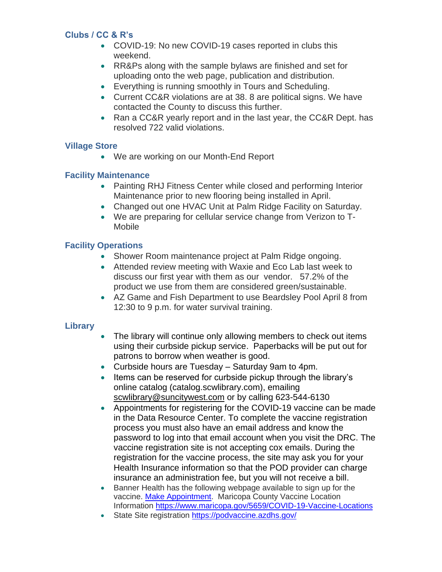## **Clubs / CC & R's**

- COVID-19: No new COVID-19 cases reported in clubs this weekend.
- RR&Ps along with the sample bylaws are finished and set for uploading onto the web page, publication and distribution.
- Everything is running smoothly in Tours and Scheduling.
- Current CC&R violations are at 38. 8 are political signs. We have contacted the County to discuss this further.
- Ran a CC&R yearly report and in the last year, the CC&R Dept. has resolved 722 valid violations.

#### **Village Store**

• We are working on our Month-End Report

## **Facility Maintenance**

- Painting RHJ Fitness Center while closed and performing Interior Maintenance prior to new flooring being installed in April.
- Changed out one HVAC Unit at Palm Ridge Facility on Saturday.
- We are preparing for cellular service change from Verizon to T-Mobile

## **Facility Operations**

- Shower Room maintenance project at Palm Ridge ongoing.
- Attended review meeting with Waxie and Eco Lab last week to discuss our first year with them as our vendor. 57.2% of the product we use from them are considered green/sustainable.
- AZ Game and Fish Department to use Beardsley Pool April 8 from 12:30 to 9 p.m. for water survival training.

#### **Library**

- The library will continue only allowing members to check out items using their curbside pickup service. Paperbacks will be put out for patrons to borrow when weather is good.
- Curbside hours are Tuesday Saturday 9am to 4pm.
- Items can be reserved for curbside pickup through the library's online catalog (catalog.scwlibrary.com), emailing [scwlibrary@suncitywest.com](mailto:scwlibrary@suncitywest.com) or by calling 623-544-6130
- Appointments for registering for the COVID-19 vaccine can be made in the Data Resource Center. To complete the vaccine registration process you must also have an email address and know the password to log into that email account when you visit the DRC. The vaccine registration site is not accepting cox emails. During the registration for the vaccine process, the site may ask you for your Health Insurance information so that the POD provider can charge insurance an administration fee, but you will not receive a bill.
- Banner Health has the following webpage available to sign up for the vaccine. [Make Appointment.](https://www.bannerhealth.com/staying-well/health-and-wellness/wellness/covid/maricopa-county-vaccine) Maricopa County Vaccine Location Information<https://www.maricopa.gov/5659/COVID-19-Vaccine-Locations>
- State Site registration<https://podvaccine.azdhs.gov/>